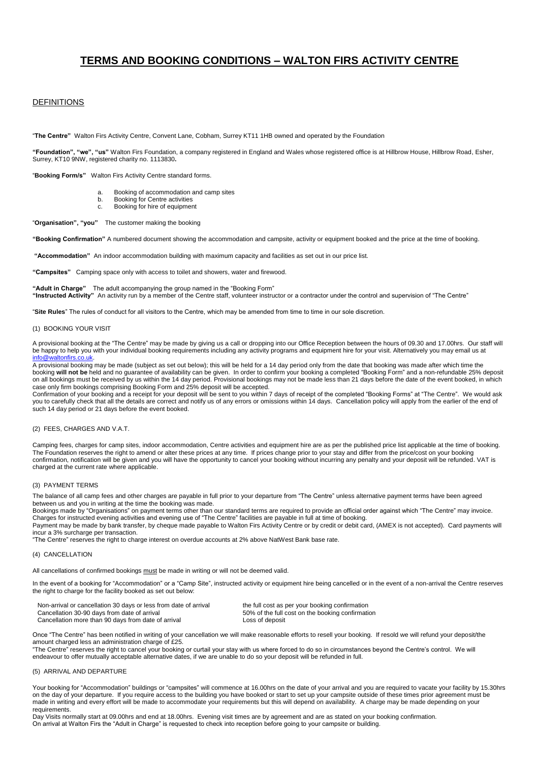# **TERMS AND BOOKING CONDITIONS – WALTON FIRS ACTIVITY CENTRE**

## DEFINITIONS

"**The Centre"** Walton Firs Activity Centre, Convent Lane, Cobham, Surrey KT11 1HB owned and operated by the Foundation

**"Foundation", "we", "us"** Walton Firs Foundation, a company registered in England and Wales whose registered office is at Hillbrow House, Hillbrow Road, Esher, Surrey, KT10 9NW, registered charity no. 1113830**.**

"**Booking Form/s"** Walton Firs Activity Centre standard forms.

- a. Booking of accommodation and camp sites
- b. Booking for Centre activities
- c. Booking for hire of equipment

"**Organisation", "you"** The customer making the booking

**"Booking Confirmation"** A numbered document showing the accommodation and campsite, activity or equipment booked and the price at the time of booking.

**"Accommodation"** An indoor accommodation building with maximum capacity and facilities as set out in our price list.

**"Campsites"** Camping space only with access to toilet and showers, water and firewood.

**"Adult in Charge"** The adult accompanying the group named in the "Booking Form" **"Instructed Activity"** An activity run by a member of the Centre staff, volunteer instructor or a contractor under the control and supervision of "The Centre"

"**Site Rules**" The rules of conduct for all visitors to the Centre, which may be amended from time to time in our sole discretion.

#### (1) BOOKING YOUR VISIT

A provisional booking at the "The Centre" may be made by giving us a call or dropping into our Office Reception between the hours of 09.30 and 17.00hrs. Our staff will be happy to help you with your individual booking requirements including any activity programs and equipment hire for your visit. Alternatively you may email us at info@

A provisional booking may be made (subject as set out below); this will be held for a 14 day period only from the date that booking was made after which time the<br>booking **will not be** held and no guarantee of availability on all bookings must be received by us within the 14 day period. Provisional bookings may not be made less than 21 days before the date of the event booked, in which case only firm bookings comprising Booking Form and 25% deposit will be accepted.

Confirmation of your booking and a receipt for your deposit will be sent to you within 7 days of receipt of the completed "Booking Forms" at "The Centre". We would ask you to carefully check that all the details are correct and notify us of any errors or omissions within 14 days. Cancellation policy will apply from the earlier of the end of such 14 day period or 21 days before the event booked.

## (2) FEES, CHARGES AND V.A.T.

Camping fees, charges for camp sites, indoor accommodation, Centre activities and equipment hire are as per the published price list applicable at the time of booking. The Foundation reserves the right to amend or alter these prices at any time. If prices change prior to your stay and differ from the price/cost on your booking confirmation, notification will be given and you will have the opportunity to cancel your booking without incurring any penalty and your deposit will be refunded. VAT is charged at the current rate where applicable.

## (3) PAYMENT TERMS

The balance of all camp fees and other charges are payable in full prior to your departure from "The Centre" unless alternative payment terms have been agreed between us and you in writing at the time the booking was made.

Bookings made by "Organisations" on payment terms other than our standard terms are required to provide an official order against which "The Centre" may invoice. Charges for instructed evening activities and evening use of "The Centre" facilities are payable in full at time of booking.

Payment may be made by bank transfer, by cheque made payable to Walton Firs Activity Centre or by credit or debit card, (AMEX is not accepted). Card payments will incur a 3% surcharge per transaction.

"The Centre" reserves the right to charge interest on overdue accounts at 2% above NatWest Bank base rate.

## (4) CANCELLATION

All cancellations of confirmed bookings must be made in writing or will not be deemed valid.

In the event of a booking for "Accommodation" or a "Camp Site", instructed activity or equipment hire being cancelled or in the event of a non-arrival the Centre reserves the right to charge for the facility booked as set out below:

| Non-arrival or cancellation 30 days or less from date of arrival | the full cost as per your booking confirmation   |
|------------------------------------------------------------------|--------------------------------------------------|
| Cancellation 30-90 days from date of arrival                     | 50% of the full cost on the booking confirmation |
| Cancellation more than 90 days from date of arrival              | Loss of deposit                                  |

Once "The Centre" has been notified in writing of your cancellation we will make reasonable efforts to resell your booking. If resold we will refund your deposit/the amount charged less an administration charge of £25.

"The Centre" reserves the right to cancel your booking or curtail your stay with us where forced to do so in circumstances beyond the Centre's control. We will endeavour to offer mutually acceptable alternative dates, if we are unable to do so your deposit will be refunded in full.

## (5) ARRIVAL AND DEPARTURE

Your booking for "Accommodation" buildings or "campsites" will commence at 16.00hrs on the date of your arrival and you are required to vacate your facility by 15.30hrs on the day of your departure. If you require access to the building you have booked or start to set up your campsite outside of these times prior agreement must be made in writing and every effort will be made to accommodate your requirements but this will depend on availability. A charge may be made depending on your requirements.

Day Visits normally start at 09.00hrs and end at 18.00hrs. Evening visit times are by agreement and are as stated on your booking confirmation. On arrival at Walton Firs the "Adult in Charge" is requested to check into reception before going to your campsite or building.